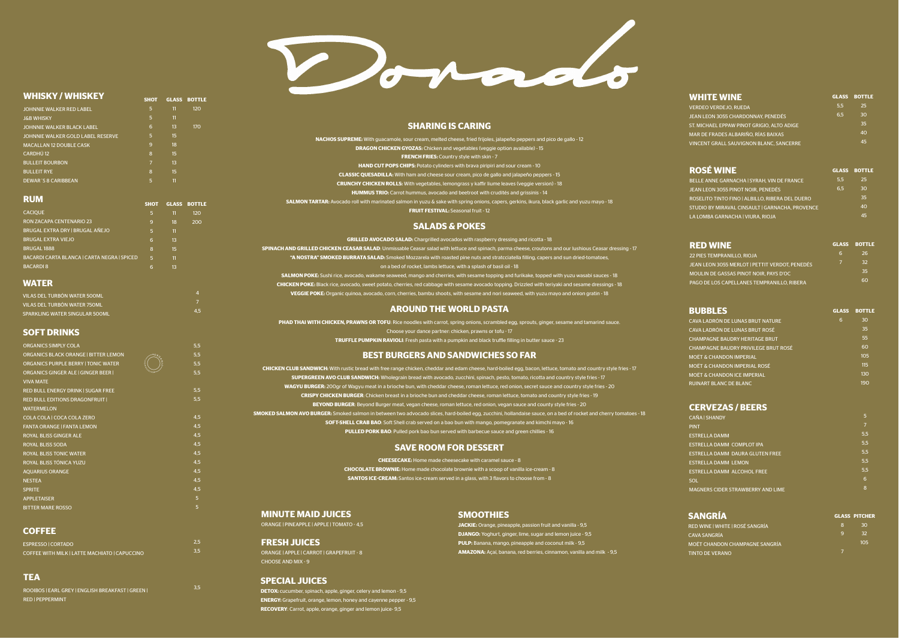#### **WHISKY / WHISKEY**

**SHOT GLASS BOTTLE**

| <b>RUM</b>                        | <b>SHOT</b>    |    | <b>GLASS BOTTLE</b> | <b>SALMON TARTAR: Avocado roll with</b> |
|-----------------------------------|----------------|----|---------------------|-----------------------------------------|
|                                   |                |    |                     | <b>HUMM</b>                             |
| <b>DEWAR'S 8 CARIBBEAN</b>        | 5              | 11 |                     | <b>CRUNCHY CH</b>                       |
| <b>BULLEIT RYE</b>                | 8              | 15 |                     | <b>CLASSIC QU</b>                       |
| <b>BULLEIT BOURBON</b>            | $\overline{7}$ | 13 |                     | <b>HA!</b>                              |
| CARDHÚ <sub>12</sub>              | 8              | 15 |                     |                                         |
| <b>MACALLAN 12 DOUBLE CASK</b>    | 9              | 18 |                     | <b>DRA</b>                              |
| JOHNNIE WALKER GOLD LABEL RESERVE | 5              | 15 |                     | <b>NACHOS SUPREME: W</b>                |
| <b>JOHNNIE WALKER BLACK LABEL</b> | 6              | 13 | 170                 |                                         |
| <b>J&amp;B WHISKY</b>             | 5              | 11 |                     |                                         |
| JOHNNIE WALKER RED LABEL          | 5              | 11 | 120                 |                                         |

| <b>CACIQUE</b>                              | 5 | 11 | 120 |
|---------------------------------------------|---|----|-----|
| <b>RON ZACAPA CENTENARIO 23</b>             | 9 | 18 | 200 |
| BRUGAL EXTRA DRY   BRUGAL AÑEJO             | 5 | 11 |     |
| <b>BRUGAL EXTRA VIEJO</b>                   | 6 | 13 |     |
| <b>BRUGAL 1888</b>                          | 8 | 15 |     |
| BACARDI CARTA BLANCA   CARTA NEGRA   SPICED | 5 | 11 |     |
| <b>BACARDI 8</b>                            | 6 | 13 |     |

#### **WATER**

| VILAS DEL TURBÓN WATER 500ML        |  |
|-------------------------------------|--|
| <b>VILAS DEL TURBÓN WATER 750ML</b> |  |
| SPARKLING WATER SINGULAR 500ML      |  |

4 7 4,5

# **SOFT DRINKS**

| <b>ORGANICS SIMPLY COLA</b>                 |           | 5,5 |
|---------------------------------------------|-----------|-----|
| <b>ORGANICS BLACK ORANGE   BITTER LEMON</b> | $+0.66$   | 5,5 |
| <b>ORGANICS PURPLE BERRY I TONIC WATER</b>  | Ξ<br>MENT | 5.5 |
| <b>ORGANICS GINGER ALE I GINGER BEER I</b>  | 84384     | 5,5 |
| <b>VIVA MATE</b>                            |           |     |
| <b>RED BULL ENERGY DRINK I SUGAR FREE</b>   |           | 5,5 |
| <b>RED BULL EDITIONS DRAGONFRUIT  </b>      |           | 5,5 |
| <b>WATERMELON</b>                           |           |     |
| COLA COLA   COCA COLA ZERO                  |           | 4,5 |
| <b>FANTA ORANGE I FANTA LEMON</b>           |           | 4,5 |
| <b>ROYAL BLISS GINGER ALE</b>               |           | 4,5 |
| <b>ROYAL BLISS SODA</b>                     |           | 4,5 |
| <b>ROYAL BLISS TONIC WATER</b>              |           | 4,5 |
| ROYAL BLISS TÓNICA YUZU                     |           | 4,5 |
| <b>AQUARIUS ORANGE</b>                      |           | 4,5 |
| <b>NESTEA</b>                               |           | 4,5 |
| <b>SPRITE</b>                               |           | 4,5 |
| <b>APPLETAISER</b>                          |           | 5   |
| <b>BITTER MARE ROSSO</b>                    |           | 5   |
|                                             |           |     |

# **COFFEE**

| ESPRESSO CORTADO                              |  |
|-----------------------------------------------|--|
| COFFEE WITH MILK   LATTE MACHIATO   CAPUCCINO |  |

2,5 3,5

# **TEA**

| ROOIBOS   EARL GREY   ENGLISH BREAKFAST   GREEN |  |
|-------------------------------------------------|--|
| <b>RED   PEPPERMINT</b>                         |  |

3,5

#### **MINUTE MAID JUICES**

ORANGE | PINEAPPLE | APPLE | TOMATO - 4,5

#### **FRESH JUICES**

ORANGE | APPLE | CARROT | GRAPEFRUIT - 8 CHOOSE AND MIX - 9

# **SPECIAL JUICES**

**DETOX:** cucumber, spinach, apple, ginger, celery and lemon - 9,5 **ENERGY:** Grapefruit, orange, lemon, honey and cayenne pepper - 9,5 **RECOVERY**: Carrot, apple, orange, ginger and lemon juice- 9,5

# **SMOOTHIES**

**JACKIE:** Orange, pineapple, passion fruit and vanilla - 9,5 **DJANGO:** Yoghurt, ginger, lime, sugar and lemon juice - 9,5 **PULP:** Banana, mango, pineapple and coconut milk - 9,5 **AMAZONA:** Açaí, banana, red berries, cinnamon, vanilla and milk - 9,5



**SHARING IS CARING**

**CHEESECAKE:** Home made cheesecake with caramel sauce - 8 **CHOCOLATE BROWNIE:** Home made chocolate brownie with a scoop of vanilla ice-cream - 8 **SANTOS ICE-CREAM:** Santos ice-cream served in a glass, with 3 flavors to choose from - 8

| <b>DRAGON CHICKEN GYOZAS:</b> Chicken and vegetables (veggie option available) - 15                                 |
|---------------------------------------------------------------------------------------------------------------------|
| <b>FRENCH FRIES:</b> Country style with skin - 7                                                                    |
| <b>HAND CUT POPS CHIPS:</b> Potato cylinders with brava piripiri and sour cream - 10                                |
| <b>CLASSIC QUESADILLA:</b> With ham and cheese sour cream, pico de gallo and jalapeño peppers - 15                  |
| <b>CRUNCHY CHICKEN ROLLS:</b> With vegetables, lemongrass y kaffir liume leaves (veggie version) - 18               |
| <b>HUMMUS TRIO:</b> Carrot hummus, avocado and beetroot with crudités and grissinis - 14                            |
| $\alpha$ cado roll with marinated salmon in vuzu & sake with spring onions, capers, gerkins, ikura, black garlic ar |

le, sour cream, melted cheese, fried frijoles, jalapeño peppers and pico de gallo - 12

**SALMON TARTAR:** Avocado roll with marinated salmon in yuzu & sake with spring onions, capers, gerkins, ikura, black garlic and yuzu mayo - 18

**FRUIT FESTIVAL:** Seasonal fruit - 12

#### **AROUND THE WORLD PASTA**

**PHAD THAI WITH CHICKEN, PRAWNS OR TOFU:** Rice noodles with carrot, spring onions, scrambled egg, sprouts, ginger, sesame and tamarind sauce. Choose your dance partner: chicken, prawns or tofu - 17 **TRUFFLE PUMPKIN RAVIOLI:** Fresh pasta with a pumpkin and black truffle filling in butter sauce - 23

**SALADS & POKES GRILLED AVOCADO SALAD:** Chargrilled avocados with raspberry dressing and ricotta - 18 **SPINACH AND GRILLED CHICKEN CEASAR SALAD**: Unmissable Ceasar salad with lettuce and spinach, parma cheese, croutons and our lushious Ceasar dressing - 17 **"A NOSTRA" SMOKED BURRATA SALAD:** Smoked Mozzarela with roasted pine nuts and stratcciatella filling, capers and sun dried-tomatoes, on a bed of rocket, lambs lettuce, with a splash of basil oil - 18 **SALMON POKE:** Sushi rice, avocado, wakame seaweed, mango and cherries, with sesame topping and furikake, topped with yuzu wasabi sauces - 18 **CHICKEN POKE:** Black rice, avocado, sweet potato, cherries, red cabbage with sesame avocado topping. Drizzled with teriyaki and sesame dressings - 18 **VEGGIE POKE:** Organic quinoa, avocado, corn, cherries, bambu shoots, with sesame and nori seaweed, with yuzu mayo and onion gratin - 18

# **SAVE ROOM FOR DESSERT**

# **BEST BURGERS AND SANDWICHES SO FAR**

**CHICKEN CLUB SANDWICH:** With rustic bread with free range chicken, cheddar and edam cheese, hard-boiled egg, bacon, lettuce, tomato and country style fries - 17 **SUPERGREEN AVO CLUB SANDWICH:** Wholegrain bread with avocado, zucchini, spinach, pesto, tomato, ricotta and country style fries - 17 **WAGYU BURGER:** 200gr of Wagyu meat in a brioche bun, with cheddar cheese, roman lettuce, red onion, secret sauce and country style fries - 20 **CRISPY CHICKEN BURGER**: Chicken breast in a brioche bun and cheddar cheese, roman lettuce, tomato and country style fries - 19 **BEYOND BURGER**: Beyond Burger meat, vegan cheese, roman lettuce, red onion, vegan sauce and county style fries - 20 **SMOKED SALMON AVO BURGER:** Smoked salmon in between two advocado slices, hard-boiled egg, zucchini, hollandaise sauce, on a bed of rocket and cherry tomatoes - 18 **SOFT-SHELL CRAB BAO**: Soft Shell crab served on a bao bun with mango, pomegranate and kimchi mayo - 16 **PULLED PORK BAO**: Pulled pork bao bun served with barbecue sauce and green chillies - 16

# **CERVEZAS / BEERS**

| <b>CAÑA I SHANDY</b>                     | 5   |
|------------------------------------------|-----|
| <b>PINT</b>                              | 7   |
| <b>ESTRELLA DAMM</b>                     | 5.5 |
| ESTRELLA DAMM COMPLOT IPA                | 5.5 |
| ESTRELLA DAMM DAURA GLUTEN FREE          | 5.5 |
| <b>ESTRELLA DAMM LEMON</b>               | 5.5 |
| <b>ESTRELLA DAMM ALCOHOL FREE</b>        | 5.5 |
| <b>SOL</b>                               | 6   |
| <b>MAGNERS CIDER STRAWBERRY AND LIME</b> | 8   |

| <b>SANGRÍA</b>                  |    | <b>GLASS PITCHER</b> |
|---------------------------------|----|----------------------|
| RED WINE   WHITE   ROSÉ SANGRÍA | Β. | 30                   |
| <b>CAVA SANGRÍA</b>             | q  | 32                   |
| MOËT CHANDON CHAMPAGNE SANGRÍA  |    | 10 <sub>5</sub>      |
| <b>TINTO DE VERANO</b>          |    |                      |

| <b>WHITE WINE</b>                              |     | <b>GLASS BOTTLE</b> |
|------------------------------------------------|-----|---------------------|
| <b>VERDEO VERDEJO, RUEDA</b>                   | 5.5 | 25                  |
| <b>JEAN LEON 3055 CHARDONNAY, PENEDÉS</b>      | 6.5 | 30                  |
| ST. MICHAEL EPPAW PINOT GRIGIO, ALTO ADIGE     |     | 35                  |
| MAR DE FRADES ALBARIÑO, RÍAS BAIXAS            |     | 40                  |
| <b>VINCENT GRALL SAUVIGNON BLANC, SANCERRE</b> |     | 45                  |
|                                                |     |                     |

| <b>GLASS BOTTLE</b> |
|---------------------|
| 25                  |
| 30                  |
| 35                  |
| 40                  |
| 45                  |
|                     |

| <b>RED WINE</b>                                |   | <b>GLASS BOTTLE</b> |
|------------------------------------------------|---|---------------------|
| <b>22 PIES TEMPRANILLO, RIOJA</b>              | 6 | 26.                 |
| JEAN LEON 3055 MERLOT   PETTIT VERDOT, PENEDÉS |   | 32                  |
| MOULIN DE GASSAS PINOT NOIR. PAYS D'OC         |   | 35                  |
| PAGO DE LOS CAPELLANES TEMPRANILLO. RIBERA     |   | 60                  |

| <b>GLASS</b> | <b>BOTTLE</b> |
|--------------|---------------|
| 6            | 30            |
|              | 35            |
|              | 55            |
|              | 60            |
|              | 105           |
|              | 115           |
|              | 130           |
|              | 190           |
|              |               |